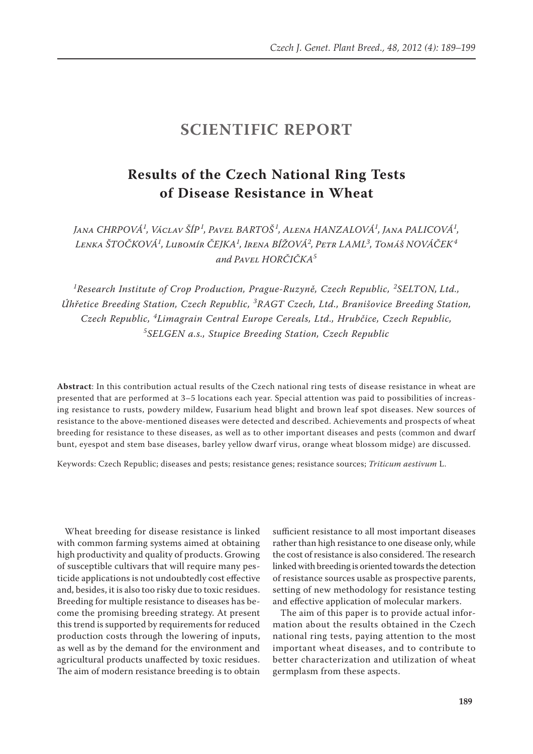# **SCIENTIFIC REPORT**

# **Results of the Czech National Ring Tests of Disease Resistance in Wheat**

*Jana CHRPOVÁ<sup>1</sup> , Václav ŠÍP<sup>1</sup> , Pavel BARTOŠ <sup>1</sup> , Alena HANZALOVÁ<sup>1</sup> , Jana PALICOVÁ<sup>1</sup> , Lenka ŠTOČKOVÁ<sup>1</sup> , Lubomír ČEJKA<sup>1</sup> , Irena BÍŽOVÁ<sup>2</sup> , Petr LAML<sup>3</sup> , Tomáš NOVÁČEK<sup>4</sup> and Pavel HORČIČKA<sup>5</sup>*

<sup>1</sup>Research Institute of Crop Production, Prague-Ruzyně, Czech Republic, <sup>2</sup>SELTON, Ltd., *Úhřetice Breeding Station, Czech Republic, <sup>3</sup> RAGT Czech, Ltd., Branišovice Breeding Station, Czech Republic, <sup>4</sup> Limagrain Central Europe Cereals, Ltd., Hrubčice, Czech Republic, 5 SELGEN a.s., Stupice Breeding Station, Czech Republic*

**Abstract**: In this contribution actual results of the Czech national ring tests of disease resistance in wheat are presented that are performed at 3–5 locations each year. Special attention was paid to possibilities of increasing resistance to rusts, powdery mildew, Fusarium head blight and brown leaf spot diseases. New sources of resistance to the above-mentioned diseases were detected and described. Achievements and prospects of wheat breeding for resistance to these diseases, as well as to other important diseases and pests (common and dwarf bunt, eyespot and stem base diseases, barley yellow dwarf virus, orange wheat blossom midge) are discussed.

Keywords: Czech Republic; diseases and pests; resistance genes; resistance sources; *Triticum aestivum* L.

Wheat breeding for disease resistance is linked with common farming systems aimed at obtaining high productivity and quality of products. Growing of susceptible cultivars that will require many pesticide applications is not undoubtedly cost effective and, besides, it is also too risky due to toxic residues. Breeding for multiple resistance to diseases has become the promising breeding strategy. At present this trend is supported by requirements for reduced production costs through the lowering of inputs, as well as by the demand for the environment and agricultural products unaffected by toxic residues. The aim of modern resistance breeding is to obtain

sufficient resistance to all most important diseases rather than high resistance to one disease only, while the cost of resistance is also considered. The research linked with breeding is oriented towards the detection of resistance sources usable as prospective parents, setting of new methodology for resistance testing and effective application of molecular markers.

The aim of this paper is to provide actual information about the results obtained in the Czech national ring tests, paying attention to the most important wheat diseases, and to contribute to better characterization and utilization of wheat germplasm from these aspects.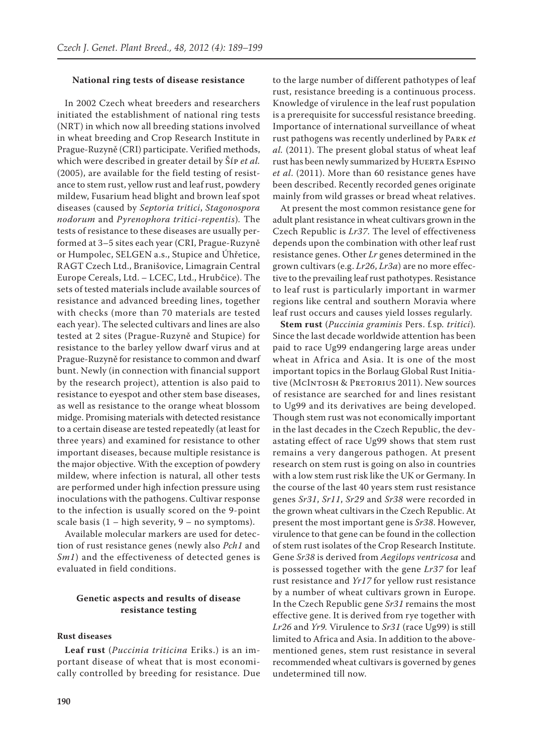#### **National ring tests of disease resistance**

In 2002 Czech wheat breeders and researchers initiated the establishment of national ring tests (NRT) in which now all breeding stations involved in wheat breeding and Crop Research Institute in Prague-Ruzyně (CRI) participate. Verified methods, which were described in greater detail by Šíp *et al.* (2005), are available for the field testing of resistance to stem rust, yellow rust and leaf rust, powdery mildew, Fusarium head blight and brown leaf spot diseases (caused by *Septoria tritici*, *Stagonospora nodorum* and *Pyrenophora tritici*-*repentis*)*.* The tests of resistance to these diseases are usually performed at 3–5 sites each year (CRI, Prague-Ruzyně or Humpolec, SELGEN a.s., Stupice and Úhřetice, RAGT Czech Ltd., Branišovice, Limagrain Central Europe Cereals, Ltd. – LCEC, Ltd., Hrubčice). The sets of tested materials include available sources of resistance and advanced breeding lines, together with checks (more than 70 materials are tested each year). The selected cultivars and lines are also tested at 2 sites (Prague-Ruzyně and Stupice) for resistance to the barley yellow dwarf virus and at Prague-Ruzyně for resistance to common and dwarf bunt. Newly (in connection with financial support by the research project), attention is also paid to resistance to eyespot and other stem base diseases, as well as resistance to the orange wheat blossom midge. Promising materials with detected resistance to a certain disease are tested repeatedly (at least for three years) and examined for resistance to other important diseases, because multiple resistance is the major objective. With the exception of powdery mildew, where infection is natural, all other tests are performed under high infection pressure using inoculations with the pathogens. Cultivar response to the infection is usually scored on the 9-point scale basis  $(1 - high severity, 9 - no symptoms).$ 

Available molecular markers are used for detection of rust resistance genes (newly also *Pch1* and *Sm1*) and the effectiveness of detected genes is evaluated in field conditions.

## **Genetic aspects and results of disease resistance testing**

## **Rust diseases**

**Leaf rust** (*Puccinia triticina* Eriks.) is an important disease of wheat that is most economically controlled by breeding for resistance. Due to the large number of different pathotypes of leaf rust, resistance breeding is a continuous process. Knowledge of virulence in the leaf rust population is a prerequisite for successful resistance breeding. Importance of international surveillance of wheat rust pathogens was recently underlined by Park *et al.* (2011). The present global status of wheat leaf rust has been newly summarized by Huerta Espino *et al*. (2011). More than 60 resistance genes have been described. Recently recorded genes originate mainly from wild grasses or bread wheat relatives.

At present the most common resistance gene for adult plant resistance in wheat cultivars grown in the Czech Republic is *Lr37*. The level of effectiveness depends upon the combination with other leaf rust resistance genes. Other *Lr* genes determined in the grown cultivars (e.g. *Lr26*, *Lr3a*) are no more effective to the prevailing leaf rust pathotypes. Resistance to leaf rust is particularly important in warmer regions like central and southern Moravia where leaf rust occurs and causes yield losses regularly.

**Stem rust** (*Puccinia graminis* Pers. f*.*sp*. tritici*)*.*  Since the last decade worldwide attention has been paid to race Ug99 endangering large areas under wheat in Africa and Asia. It is one of the most important topics in the Borlaug Global Rust Initiative (MCINTOSH & PRETORIUS 2011). New sources of resistance are searched for and lines resistant to Ug99 and its derivatives are being developed. Though stem rust was not economically important in the last decades in the Czech Republic, the devastating effect of race Ug99 shows that stem rust remains a very dangerous pathogen. At present research on stem rust is going on also in countries with a low stem rust risk like the UK or Germany. In the course of the last 40 years stem rust resistance genes *Sr31*, *Sr11*, *Sr29* and *Sr38* were recorded in the grown wheat cultivars in the Czech Republic. At present the most important gene is *Sr38*. However, virulence to that gene can be found in the collection of stem rust isolates of the Crop Research Institute. Gene *Sr38* is derived from *Aegilops ventricosa* and is possessed together with the gene *Lr37* for leaf rust resistance and *Yr17* for yellow rust resistance by a number of wheat cultivars grown in Europe. In the Czech Republic gene *Sr31* remains the most effective gene. It is derived from rye together with *Lr26* and *Yr9.* Virulence to *Sr31* (race Ug99) is still limited to Africa and Asia. In addition to the abovementioned genes, stem rust resistance in several recommended wheat cultivars is governed by genes undetermined till now.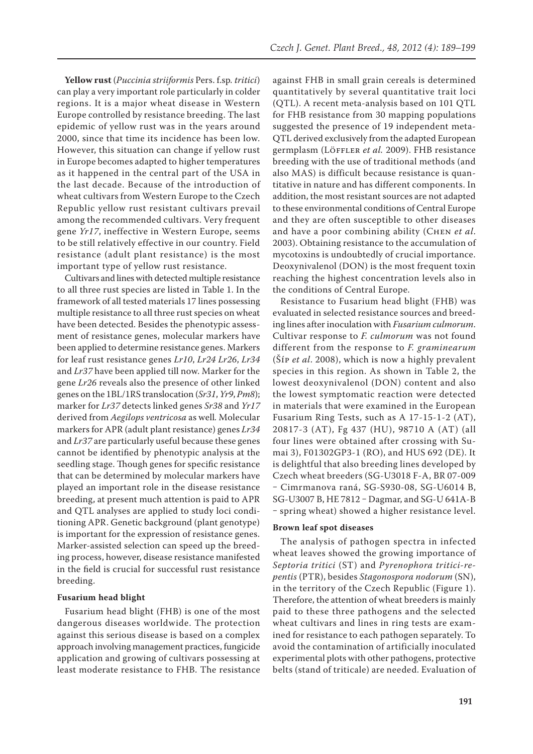**Yellow rust** (*Puccinia striiformis* Pers. f.sp*. tritici*) can play a very important role particularly in colder regions. It is a major wheat disease in Western Europe controlled by resistance breeding. The last epidemic of yellow rust was in the years around 2000, since that time its incidence has been low. However, this situation can change if yellow rust in Europe becomes adapted to higher temperatures as it happened in the central part of the USA in the last decade. Because of the introduction of wheat cultivars from Western Europe to the Czech Republic yellow rust resistant cultivars prevail among the recommended cultivars. Very frequent gene *Yr17*, ineffective in Western Europe, seems to be still relatively effective in our country. Field resistance (adult plant resistance) is the most important type of yellow rust resistance.

Cultivars and lines with detected multiple resistance to all three rust species are listed in Table 1. In the framework of all tested materials 17 lines possessing multiple resistance to all three rust species on wheat have been detected. Besides the phenotypic assessment of resistance genes, molecular markers have been applied to determine resistance genes. Markers for leaf rust resistance genes *Lr10*, *Lr24 Lr26*, *Lr34* and *Lr37* have been applied till now. Marker for the gene *Lr26* reveals also the presence of other linked genes on the 1BL/1RS translocation (*Sr31*, *Yr9*, *Pm8*); marker for *Lr37* detects linked genes *Sr38* and *Yr17* derived from *Aegilops ventricosa* as well*.* Molecular markers for APR (adult plant resistance) genes *Lr34* and *Lr37* are particularly useful because these genes cannot be identified by phenotypic analysis at the seedling stage. Though genes for specific resistance that can be determined by molecular markers have played an important role in the disease resistance breeding, at present much attention is paid to APR and QTL analyses are applied to study loci conditioning APR. Genetic background (plant genotype) is important for the expression of resistance genes. Marker-assisted selection can speed up the breeding process, however, disease resistance manifested in the field is crucial for successful rust resistance breeding.

#### **Fusarium head blight**

Fusarium head blight (FHB) is one of the most dangerous diseases worldwide. The protection against this serious disease is based on a complex approach involving management practices, fungicide application and growing of cultivars possessing at least moderate resistance to FHB. The resistance against FHB in small grain cereals is determined quantitatively by several quantitative trait loci (QTL). A recent meta-analysis based on 101 QTL for FHB resistance from 30 mapping populations suggested the presence of 19 independent meta-QTL derived exclusively from the adapted European germplasm (Löffler *et al.* 2009). FHB resistance breeding with the use of traditional methods (and also MAS) is difficult because resistance is quantitative in nature and has different components. In addition, the most resistant sources are not adapted to these environmental conditions of Central Europe and they are often susceptible to other diseases and have a poor combining ability (Chen *et al*. 2003). Obtaining resistance to the accumulation of mycotoxins is undoubtedly of crucial importance. Deoxynivalenol (DON) is the most frequent toxin reaching the highest concentration levels also in the conditions of Central Europe.

Resistance to Fusarium head blight (FHB) was evaluated in selected resistance sources and breeding lines after inoculation with *Fusarium culmorum*. Cultivar response to *F. culmorum* was not found different from the response to *F. graminearum* (Šíp *et al*. 2008), which is now a highly prevalent species in this region. As shown in Table 2, the lowest deoxynivalenol (DON) content and also the lowest symptomatic reaction were detected in materials that were examined in the European Fusarium Ring Tests, such as A 17-15-1-2 (AT), 20817-3 (AT), Fg 437 (HU), 98710 A (AT) (all four lines were obtained after crossing with Sumai 3), F01302GP3-1 (RO), and HUS 692 (DE). It is delightful that also breeding lines developed by Czech wheat breeders (SG-U3018 F-A, BR 07-009 ‒ Cimrmanova raná, SG-S930-08, SG-U6014 B, SG-U3007 B, HE 7812 ‒ Dagmar, and SG-U 641A-B ‒ spring wheat) showed a higher resistance level.

### **Brown leaf spot diseases**

The analysis of pathogen spectra in infected wheat leaves showed the growing importance of *Septoria tritici* (ST) and *Pyrenophora tritici-repentis* (PTR), besides *Stagonospora nodorum* (SN), in the territory of the Czech Republic (Figure 1). Therefore, the attention of wheat breeders is mainly paid to these three pathogens and the selected wheat cultivars and lines in ring tests are examined for resistance to each pathogen separately. To avoid the contamination of artificially inoculated experimental plots with other pathogens, protective belts (stand of triticale) are needed. Evaluation of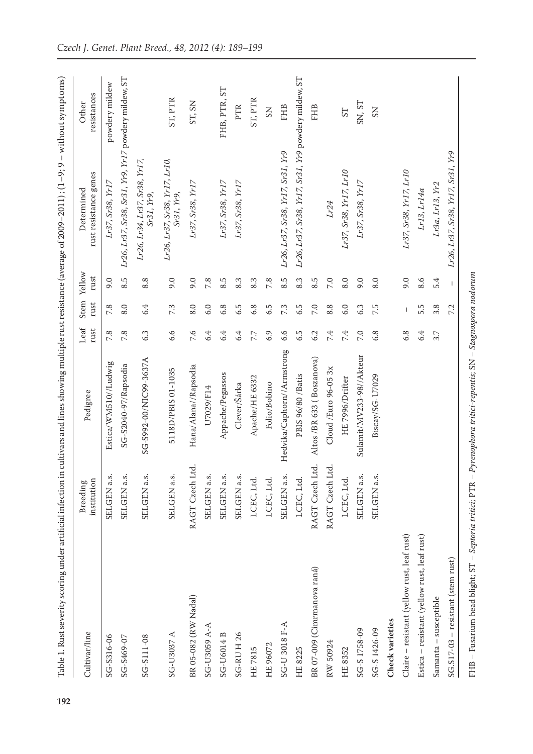| Cultivar/line                               | institution<br>Breeding | Pedigree                   | Let<br>rust | Stem<br>rust | Yellow<br>rust | rust resistance genes<br>Determined                  | resistances<br>Other |
|---------------------------------------------|-------------------------|----------------------------|-------------|--------------|----------------|------------------------------------------------------|----------------------|
| SG-S316-06                                  | SELGEN a.s.             | Estica/WM510//Ludwig       | 7.8         | 7.8          | 9.0            | Lr37, Sr38, Yr17                                     | powdery mildew       |
| SG-S469-07                                  | SELGEN a.s.             | SG-S2040-97/Rapsodia       | 7.8         | 8.0          | 8.5            | Lr26, Lr37, Sr38, Sr31, Yr9, Yr17 powdery mildew, ST |                      |
| SG-S111-08                                  | SELGEN a.s.             | SG-S992-00/NIC99-3637A     | 6.3         | 6.4          | 8.8            | Lr26, Lr34, Lr37, Sr38, Yr17,<br>Sr31, Yr9,          |                      |
| SG-U3037 A                                  | SELGEN a.s.             | 5118D/PBIS 01-1035         | 6.6         | 7.3          | 9.0            | Lr26, Lr37, Sr38, Yr17, Lr10,<br>Sr31, Yr9,          | ST, PTR              |
| BR 05-082 (RW Nadal)                        | RAGT Czech Ltd.         | Hana/Alana//Rapsodia       | 7.6         | 8.0          | 9.0            | Lr37, Sr38, Yr17                                     | ST, SN               |
| SG-U3059 A-A                                | SELGEN a.s.             | U7029/F14                  | 6.4         | 6.0          | 7.8            |                                                      |                      |
| SG-U6014 B                                  | SELGEN a.s.             | Appache/Pegassos           | 6.4         | 6.8          | 8.5            | Lr37, Sr38, Yr17                                     | FHB, PTR, ST         |
| <b>SG-RUH 26</b>                            | SELGEN a.s.             | Clever/Šárka               | 6.4         | 6.5          | 8.3            | Lr37, Sr38, Yr17                                     | PTR                  |
| HE 7815                                     | LCEC, Ltd.              | Apache/HE 6332             | 7.7         | 6.8          | 8.3            |                                                      | ST, PTR              |
| HE 96072                                    | LCEC, Ltd.              | Folio/Bobino               | 6.9         | 6.5          | 7.8            |                                                      | SSN                  |
| SG-U 3018 F-A                               | SELGEN a.s.             | Hedvika/Caphorn//Armstrong | 6.6         | 7.3          | 8.5            | Lr26, Lr37, Sr38, Yr17, Sr31, Yr9                    | <b>FHB</b>           |
| HE 8225                                     | LCEC, Ltd.              | PBIS 96/80 /Batis          | 6.5         | 6.5          | 8.3            | Lr26, Lr37, Sr38, Yr17, Sr31, Yr9 powdery mildew, ST |                      |
| BR 07-009 (Cimrmanova raná)                 | RAGT Czech Ltd.         | Altos /BR 633 (Boszanova)  | 6.2         | 7.0          | 8.5            |                                                      | <b>FHB</b>           |
| RW 50924                                    | RAGT Czech Ltd.         | Cloud /Euro 96-05 $3x$     | 7.4         | 8.8          | 7.0            | Lr24                                                 |                      |
| HE 8352                                     | LCEC, Ltd.              | HE 7996/Drifter            | 7.4         | 6.0          | 8.0            | Lr37, Sr38, Yr17, Lr10                               | TS                   |
| SG-S1758-09                                 | SELGEN a.s.             | Sulamit/MV233-98//Akteur   | 7.0         | 6.3          | 9.0            | Lr37, Sr38, Yr17                                     | SN, ST               |
| SG-S1426-09                                 | SELGEN a.s.             | Biscay/SG-U7029            | 6.8         | 7.5          | 8.0            |                                                      | SN                   |
| <b>Check varieties</b>                      |                         |                            |             |              |                |                                                      |                      |
| Claire – resistant (yellow rust, leaf rust) |                         |                            | 6.8         |              | 9.0            | Lr37, Sr38, Yr17, Lr10                               |                      |
| Estica – resistant (yellow rust, leaf rust) |                         |                            | 6.4         | 5.5          | 8.6            | $Lr13$ , $Lr14a$                                     |                      |
| Samanta - susceptible                       |                         |                            | 3.7         | 3.8          | 5.4            | Lr3a, Lr13, Yr2                                      |                      |
| SG.S17-03 – resistant (stem rust)           |                         |                            |             | 7.2          | -1             | Lr26, Lr37, Sr38, Yr17, Sr31, Yr9                    |                      |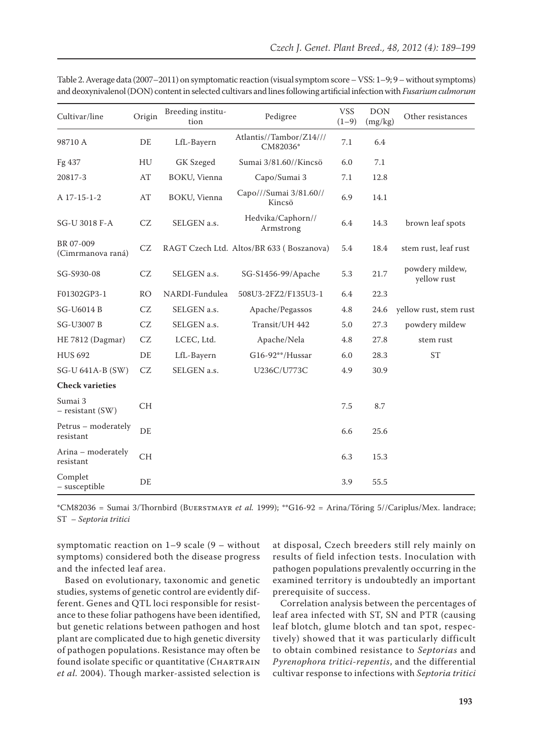| Cultivar/line                    | Origin    | Breeding institu-<br>tion | Pedigree                                 | <b>VSS</b><br>$(1-9)$ | <b>DON</b><br>(mg/kg) | Other resistances              |
|----------------------------------|-----------|---------------------------|------------------------------------------|-----------------------|-----------------------|--------------------------------|
| 98710 A                          | $\rm{DE}$ | LfL-Bayern                | Atlantis//Tambor/Z14///<br>CM82036*      | 7.1                   | 6.4                   |                                |
| Fg 437                           | HU        | GK Szeged                 | Sumai 3/81.60//Kincsö                    | 6.0                   | 7.1                   |                                |
| 20817-3                          | AT        | BOKU, Vienna              | Capo/Sumai 3                             | 7.1                   | 12.8                  |                                |
| A 17-15-1-2                      | AT        | BOKU, Vienna              | Capo///Sumai 3/81.60//<br>Kincsö         | 6.9                   | 14.1                  |                                |
| SG-U 3018 F-A                    | CZ        | SELGEN a.s.               | Hedvika/Caphorn//<br>Armstrong           | 6.4                   | 14.3                  | brown leaf spots               |
| BR 07-009<br>(Cimrmanova raná)   | CZ        |                           | RAGT Czech Ltd. Altos/BR 633 (Boszanova) | 5.4                   | 18.4                  | stem rust, leaf rust           |
| SG-S930-08                       | CZ        | SELGEN a.s.               | SG-S1456-99/Apache                       | 5.3                   | 21.7                  | powdery mildew,<br>yellow rust |
| F01302GP3-1                      | <b>RO</b> | NARDI-Fundulea            | 508U3-2FZ2/F135U3-1                      | 6.4                   | 22.3                  |                                |
| SG-U6014 B                       | CZ        | SELGEN a.s.               | Apache/Pegassos                          | 4.8                   | 24.6                  | yellow rust, stem rust         |
| SG-U3007 B                       | CZ        | SELGEN a.s.               | Transit/UH 442                           | 5.0                   | 27.3                  | powdery mildew                 |
| HE 7812 (Dagmar)                 | CZ        | LCEC, Ltd.                | Apache/Nela                              | 4.8                   | 27.8                  | stem rust                      |
| <b>HUS 692</b>                   | DE        | LfL-Bayern                | G16-92**/Hussar                          | 6.0                   | 28.3                  | <b>ST</b>                      |
| SG-U 641A-B (SW)                 | CZ        | SELGEN a.s.               | U236C/U773C                              | 4.9                   | 30.9                  |                                |
| <b>Check varieties</b>           |           |                           |                                          |                       |                       |                                |
| Sumai 3<br>- resistant (SW)      | CH        |                           |                                          | 7.5                   | 8.7                   |                                |
| Petrus - moderately<br>resistant | DE        |                           |                                          | 6.6                   | 25.6                  |                                |
| Arina - moderately<br>resistant  | <b>CH</b> |                           |                                          | 6.3                   | 15.3                  |                                |
| Complet<br>- susceptible         | DE        |                           |                                          | 3.9                   | 55.5                  |                                |

Table 2. Average data (2007–2011) on symptomatic reaction (visual symptom score – VSS: 1–9; 9 – without symptoms) and deoxynivalenol (DON) content in selected cultivars and lines following artificial infection with *Fusarium culmorum*

\*CM82036 = Sumai 3/Thornbird (Buerstmayr *et al.* 1999); \*\*G16-92 = Arina/Tőring 5//Cariplus/Mex. landrace; ST – *Septoria tritici*

symptomatic reaction on 1–9 scale (9 – without symptoms) considered both the disease progress and the infected leaf area.

Based on evolutionary, taxonomic and genetic studies, systems of genetic control are evidently different. Genes and QTL loci responsible for resistance to these foliar pathogens have been identified, but genetic relations between pathogen and host plant are complicated due to high genetic diversity of pathogen populations. Resistance may often be found isolate specific or quantitative (CHARTRAIN *et al.* 2004). Though marker-assisted selection is at disposal, Czech breeders still rely mainly on results of field infection tests. Inoculation with pathogen populations prevalently occurring in the examined territory is undoubtedly an important prerequisite of success.

Correlation analysis between the percentages of leaf area infected with ST, SN and PTR (causing leaf blotch, glume blotch and tan spot, respectively) showed that it was particularly difficult to obtain combined resistance to *Septorias* and *Pyrenophora tritici-repentis*, and the differential cultivar response to infections with *Septoria tritici*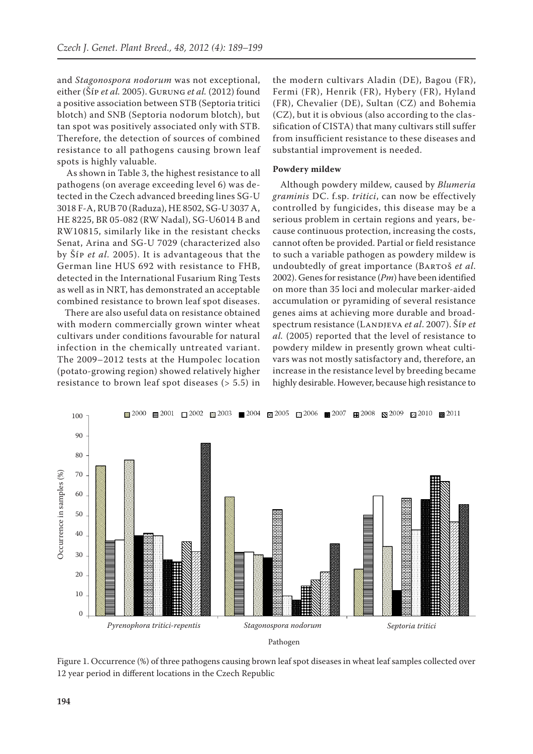and *Stagonospora nodorum* was not exceptional, either (Šíp *et al.* 2005). Gurung *et al.* (2012) found a positive association between STB (Septoria tritici blotch) and SNB (Septoria nodorum blotch), but tan spot was positively associated only with STB. Therefore, the detection of sources of combined resistance to all pathogens causing brown leaf spots is highly valuable.

 As shown in Table 3, the highest resistance to all pathogens (on average exceeding level 6) was detected in the Czech advanced breeding lines SG-U 3018 F-A, RUB 70 (Raduza), HE 8502, SG-U 3037 A, HE 8225, BR 05-082 (RW Nadal), SG-U6014 B and RW10815, similarly like in the resistant checks Senat, Arina and SG-U 7029 (characterized also by Šíp *et al.* 2005). It is advantageous that the German line HUS 692 with resistance to FHB, detected in the International Fusarium Ring Tests as well as in NRT, has demonstrated an acceptable combined resistance to brown leaf spot diseases.

There are also useful data on resistance obtained with modern commercially grown winter wheat cultivars under conditions favourable for natural infection in the chemically untreated variant. The 2009–2012 tests at the Humpolec location (potato-growing region) showed relatively higher resistance to brown leaf spot diseases (> 5.5) in the modern cultivars Aladin (DE), Bagou (FR), Fermi (FR), Henrik (FR), Hybery (FR), Hyland (FR), Chevalier (DE), Sultan (CZ) and Bohemia (CZ), but it is obvious (also according to the classification of CISTA) that many cultivars still suffer from insufficient resistance to these diseases and substantial improvement is needed.

#### **Powdery mildew**

Although powdery mildew, caused by *Blumeria graminis* DC. f.sp. *tritici*, can now be effectively controlled by fungicides, this disease may be a serious problem in certain regions and years, because continuous protection, increasing the costs, cannot often be provided. Partial or field resistance to such a variable pathogen as powdery mildew is undoubtedly of great importance (Bartoš *et al*. 2002). Genes for resistance (*Pm*) have been identified on more than 35 loci and molecular marker-aided accumulation or pyramiding of several resistance genes aims at achieving more durable and broadspectrum resistance (Landjeva *et al*. 2007). Šíp *et al.* (2005) reported that the level of resistance to powdery mildew in presently grown wheat cultivars was not mostly satisfactory and, therefore, an increase in the resistance level by breeding became highly desirable. However, because high resistance to



Figure 1. Occurrence (%) of three pathogens causing brown leaf spot diseases in wheat leaf samples collected over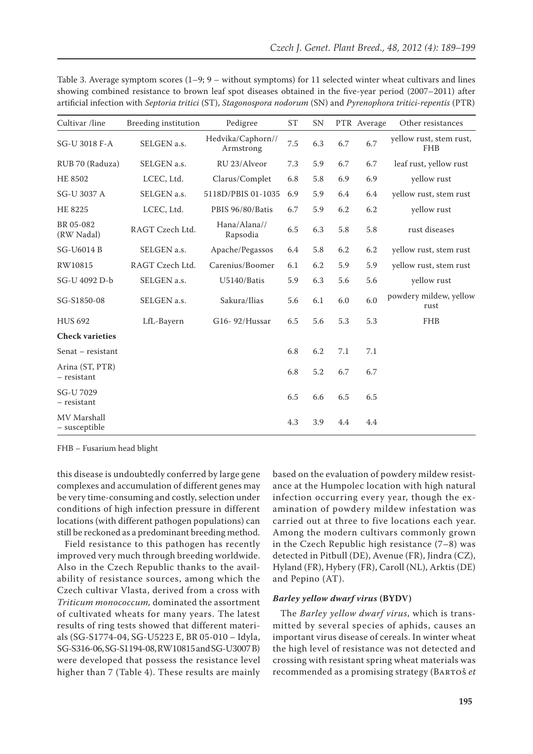| Cultivar /line                 | Breeding institution | Pedigree                       | $\operatorname{ST}$ | <b>SN</b> |     | PTR Average | Other resistances                     |
|--------------------------------|----------------------|--------------------------------|---------------------|-----------|-----|-------------|---------------------------------------|
| SG-U 3018 F-A                  | SELGEN a.s.          | Hedvika/Caphorn//<br>Armstrong | 7.5                 | 6.3       | 6.7 | 6.7         | yellow rust, stem rust,<br><b>FHB</b> |
| RUB 70 (Raduza)                | SELGEN a.s.          | RU 23/Alveor                   | 7.3                 | 5.9       | 6.7 | 6.7         | leaf rust, yellow rust                |
| HE 8502                        | LCEC, Ltd.           | Clarus/Complet                 | 6.8                 | 5.8       | 6.9 | 6.9         | yellow rust                           |
| SG-U 3037 A                    | SELGEN a.s.          | 5118D/PBIS 01-1035             | 6.9                 | 5.9       | 6.4 | 6.4         | yellow rust, stem rust                |
| HE 8225                        | LCEC, Ltd.           | PBIS 96/80/Batis               | 6.7                 | 5.9       | 6.2 | 6.2         | yellow rust                           |
| BR 05-082<br>(RW Nadal)        | RAGT Czech Ltd.      | Hana/Alana//<br>Rapsodia       | 6.5                 | 6.3       | 5.8 | 5.8         | rust diseases                         |
| SG-U6014 B                     | SELGEN a.s.          | Apache/Pegassos                | 6.4                 | 5.8       | 6.2 | 6.2         | yellow rust, stem rust                |
| RW10815                        | RAGT Czech Ltd.      | Carenius/Boomer                | 6.1                 | 6.2       | 5.9 | 5.9         | yellow rust, stem rust                |
| SG-U 4092 D-b                  | SELGEN a.s.          | U5140/Batis                    | 5.9                 | 6.3       | 5.6 | 5.6         | yellow rust                           |
| SG-S1850-08                    | SELGEN a.s.          | Sakura/Ilias                   | 5.6                 | 6.1       | 6.0 | $6.0\,$     | powdery mildew, yellow<br>rust        |
| <b>HUS 692</b>                 | LfL-Bayern           | G16-92/Hussar                  | 6.5                 | 5.6       | 5.3 | 5.3         | FHB                                   |
| <b>Check varieties</b>         |                      |                                |                     |           |     |             |                                       |
| Senat - resistant              |                      |                                | 6.8                 | 6.2       | 7.1 | 7.1         |                                       |
| Arina (ST, PTR)<br>- resistant |                      |                                | 6.8                 | 5.2       | 6.7 | 6.7         |                                       |
| SG-U 7029<br>- resistant       |                      |                                | 6.5                 | 6.6       | 6.5 | 6.5         |                                       |
| MV Marshall<br>- susceptible   |                      |                                | 4.3                 | 3.9       | 4.4 | 4.4         |                                       |

Table 3. Average symptom scores  $(1-9; 9 -$  without symptoms) for 11 selected winter wheat cultivars and lines showing combined resistance to brown leaf spot diseases obtained in the five-year period (2007–2011) after artificial infection with *Septoria tritici* (ST), *Stagonospora nodorum* (SN) and *Pyrenophora tritici-repentis* (PTR)

FHB – Fusarium head blight

this disease is undoubtedly conferred by large gene complexes and accumulation of different genes may be very time-consuming and costly, selection under conditions of high infection pressure in different locations (with different pathogen populations) can still be reckoned as a predominant breeding method.

Field resistance to this pathogen has recently improved very much through breeding worldwide. Also in the Czech Republic thanks to the availability of resistance sources, among which the Czech cultivar Vlasta, derived from a cross with *Triticum monococcum,* dominated the assortment of cultivated wheats for many years. The latest results of ring tests showed that different materials (SG-S1774-04, SG-U5223 E, BR 05-010 – Idyla, SG-S316-06, SG-S1194-08, RW10815 and SG-U3007 B) were developed that possess the resistance level higher than 7 (Table 4). These results are mainly based on the evaluation of powdery mildew resistance at the Humpolec location with high natural infection occurring every year, though the examination of powdery mildew infestation was carried out at three to five locations each year. Among the modern cultivars commonly grown in the Czech Republic high resistance (7–8) was detected in Pitbull (DE), Avenue (FR), Jindra (CZ), Hyland (FR), Hybery (FR), Caroll (NL), Arktis (DE) and Pepino (AT).

# *Barley yellow dwarf virus* **(BYDV)**

The *Barley yellow dwarf virus*, which is transmitted by several species of aphids, causes an important virus disease of cereals. In winter wheat the high level of resistance was not detected and crossing with resistant spring wheat materials was recommended as a promising strategy (Bartoš *et*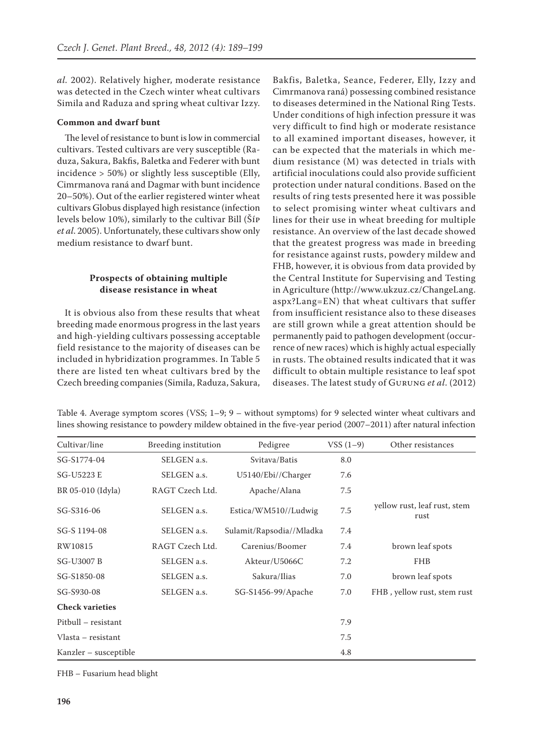*al.* 2002). Relatively higher, moderate resistance was detected in the Czech winter wheat cultivars Simila and Raduza and spring wheat cultivar Izzy.

## **Common and dwarf bunt**

The level of resistance to bunt is low in commercial cultivars. Tested cultivars are very susceptible (Raduza, Sakura, Bakfis, Baletka and Federer with bunt incidence > 50%) or slightly less susceptible (Elly, Cimrmanova raná and Dagmar with bunt incidence 20–50%). Out of the earlier registered winter wheat cultivars Globus displayed high resistance (infection levels below 10%), similarly to the cultivar Bill (Šíp *et al*. 2005). Unfortunately, these cultivars show only medium resistance to dwarf bunt.

# **Prospects of obtaining multiple disease resistance in wheat**

It is obvious also from these results that wheat breeding made enormous progress in the last years and high-yielding cultivars possessing acceptable field resistance to the majority of diseases can be included in hybridization programmes. In Table 5 there are listed ten wheat cultivars bred by the Czech breeding companies (Simila, Raduza, Sakura,

Bakfis, Baletka, Seance, Federer, Elly, Izzy and Cimrmanova raná) possessing combined resistance to diseases determined in the National Ring Tests. Under conditions of high infection pressure it was very difficult to find high or moderate resistance to all examined important diseases, however, it can be expected that the materials in which medium resistance (M) was detected in trials with artificial inoculations could also provide sufficient protection under natural conditions. Based on the results of ring tests presented here it was possible to select promising winter wheat cultivars and lines for their use in wheat breeding for multiple resistance. An overview of the last decade showed that the greatest progress was made in breeding for resistance against rusts, powdery mildew and FHB, however, it is obvious from data provided by the Central Institute for Supervising and Testing in Agriculture (http://www.ukzuz.cz/ChangeLang. aspx?Lang=EN) that wheat cultivars that suffer from insufficient resistance also to these diseases are still grown while a great attention should be permanently paid to pathogen development (occurrence of new races) which is highly actual especially in rusts. The obtained results indicated that it was difficult to obtain multiple resistance to leaf spot diseases. The latest study of Gurung *et al*. (2012)

| Cultivar/line          | <b>Breeding institution</b> | Pedigree                 | $VSS(1-9)$ | Other resistances                    |
|------------------------|-----------------------------|--------------------------|------------|--------------------------------------|
| SG-S1774-04            | SELGEN a.s.                 | Svitava/Batis            | 8.0        |                                      |
| SG-U5223 E             | SELGEN a.s.                 | U5140/Ebi//Charger       | 7.6        |                                      |
| BR 05-010 (Idyla)      | RAGT Czech Ltd.             | Apache/Alana             | 7.5        |                                      |
| SG-S316-06             | SELGEN a.s.                 | Estica/WM510//Ludwig     | 7.5        | yellow rust, leaf rust, stem<br>rust |
| SG-S 1194-08           | SELGEN a.s.                 | Sulamit/Rapsodia//Mladka | 7.4        |                                      |
| RW10815                | RAGT Czech Ltd.             | Carenius/Boomer          | 7.4        | brown leaf spots                     |
| SG-U3007 B             | SELGEN a.s.                 | Akteur/U5066C            | 7.2        | <b>FHB</b>                           |
| SG-S1850-08            | SELGEN a.s.                 | Sakura/Ilias             | 7.0        | brown leaf spots                     |
| SG-S930-08             | SELGEN a.s.                 | SG-S1456-99/Apache       | 7.0        | FHB, yellow rust, stem rust          |
| <b>Check varieties</b> |                             |                          |            |                                      |
| Pitbull – resistant    |                             |                          | 7.9        |                                      |
| Vlasta – resistant     |                             |                          | 7.5        |                                      |
| Kanzler – susceptible  |                             |                          | 4.8        |                                      |

Table 4. Average symptom scores (VSS; 1–9; 9 – without symptoms) for 9 selected winter wheat cultivars and lines showing resistance to powdery mildew obtained in the five-year period (2007–2011) after natural infection

FHB – Fusarium head blight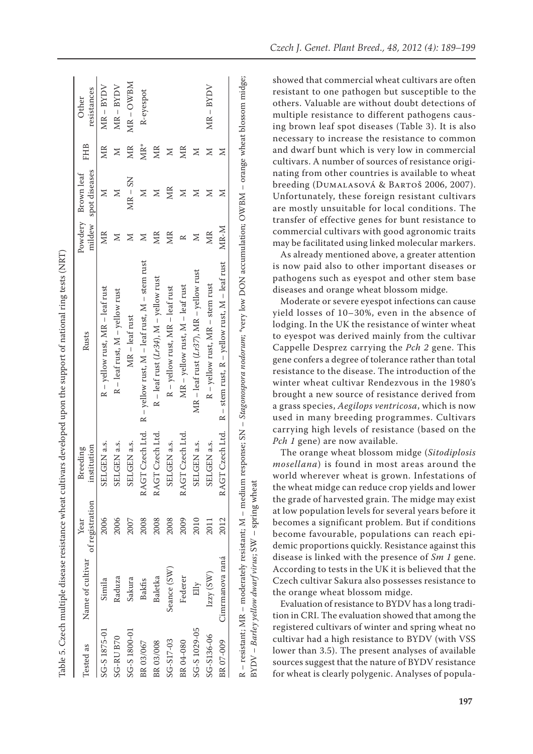| Tested as        | Name of cultivar | of registration<br>Year | institution<br>Breeding | Rusts                                                         |        | mildew spot diseases<br>Powdery Brown leaf | <b>FHB</b>      | resistances<br>Other |
|------------------|------------------|-------------------------|-------------------------|---------------------------------------------------------------|--------|--------------------------------------------|-----------------|----------------------|
| SG-S 1875-01     | Simila           | 2006                    | SELGEN a.s.             | $R$ – yellow rust, $MR$ – leaf rust                           | MR     | $\geq$                                     | MR              | $MR - BYDV$          |
| <b>SG-RU B70</b> | Raduza           | 2006                    | SELGEN a.s.             | $R$ – leaf rust, $M$ – yellow rust                            | $\geq$ | Z                                          | Z               | $MR - BYDV$          |
| SG-S 1800-01     | Sakura           |                         | SELGEN a.s.             | MR-leaf rust                                                  | Z      | $MR - SN$                                  | XIR             | MR-OWBM              |
| BR 03/067        | <b>Bakfis</b>    | 2008                    | RAGT Czech Ltd.         | $R$ – yellow rust, $M$ – leaf rust, $M$ – stem rust           | Σ      | $\geq$                                     | MR <sup>*</sup> | R-eyespot            |
| BR 03/008        | Baletka          | 2008                    | RAGT Czech Ltd.         | $R$ – leaf rust (Lr34), M – yellow rust                       | МR     | Z                                          | MR              |                      |
| SG-S17-03        | Seance (SW)      | 2008                    | SELGEN a.s.             | $R$ – yellow rust, $MR$ – leaf rust                           | MR     | XIR                                        | Σ               |                      |
| BR 04-080        | Federer          | 2009                    | RAGT Czech Ltd.         | MR – yellow rust, M – leaf rust                               |        | Z                                          | XIR             |                      |
| SG-S 1029-05     | Elly             | 2010                    | SELGEN a.s.             | $MR - leaf$ rust ( $Lr37$ ), $MR - yellow$ rust               | Z      | Z                                          | Σ               |                      |
| SG-S136-06       | $Izzy$ (SW)      | 2011                    | SELGEN a.s.             | $R -$ yellow rust, $MIR -$ stem rust                          | MR     | Z                                          | Σ               | $MR - BYN$           |
| BR 07-009        | Cimrmanova raná  | 2012                    |                         | RAGT Czech Ltd. R – stem rust, R – yellow rust, M – leaf rust | MR-M   | Σ                                          | ⋝               |                      |

showed that commercial wheat cultivars are often resistant to one pathogen but susceptible to the others. Valuable are without doubt detections of multiple resistance to different pathogens caus ing brown leaf spot diseases (Table 3). It is also necessary to increase the resistance to common and dwarf bunt which is very low in commercial cultivars. A number of sources of resistance origi nating from other countries is available to wheat breeding (Dumalasová & Bartoš 2006, 2007). Unfortunately, these foreign resistant cultivars are mostly unsuitable for local conditions. The transfer of effective genes for bunt resistance to commercial cultivars with good agronomic traits may be facilitated using linked molecular markers.

As already mentioned above, a greater attention is now paid also to other important diseases or pathogens such as eyespot and other stem base diseases and orange wheat blossom midge.

Moderate or severe eyespot infections can cause yield losses of 10–30%, even in the absence of lodging. In the UK the resistance of winter wheat to eyespot was derived mainly from the cultivar Cappelle Desprez carrying the *Pch 2* gene. This gene confers a degree of tolerance rather than total resistance to the disease. The introduction of the winter wheat cultivar Rendezvous in the 1980's brought a new source of resistance derived from a grass species, *Aegilops ventricosa*, which is now used in many breeding programmes. Cultivars carrying high levels of resistance (based on the *Pch 1* gene) are now available.

The orange wheat blossom midge (*Sitodiplosis mosellana*) is found in most areas around the world wherever wheat is grown. Infestations of the wheat midge can reduce crop yields and lower the grade of harvested grain. The midge may exist at low population levels for several years before it becomes a significant problem. But if conditions become favourable, populations can reach epi demic proportions quickly. Resistance against this disease is linked with the presence of *Sm 1* gene. According to tests in the UK it is believed that the Czech cultivar Sakura also possesses resistance to the orange wheat blossom midge.

BYDV – *Barley yellow dwarf virus*; SW – spring wheat

3YDV - Barley yellow dwarf virus; SW - spring wheat

Evaluation of resistance to BYDV has a long tradi tion in CRI. The evaluation showed that among the registered cultivars of winter and spring wheat no cultivar had a high resistance to BYDV (with VSS lower than 3.5). The present analyses of available sources suggest that the nature of BYDV resistance for wheat is clearly polygenic. Analyses of popula -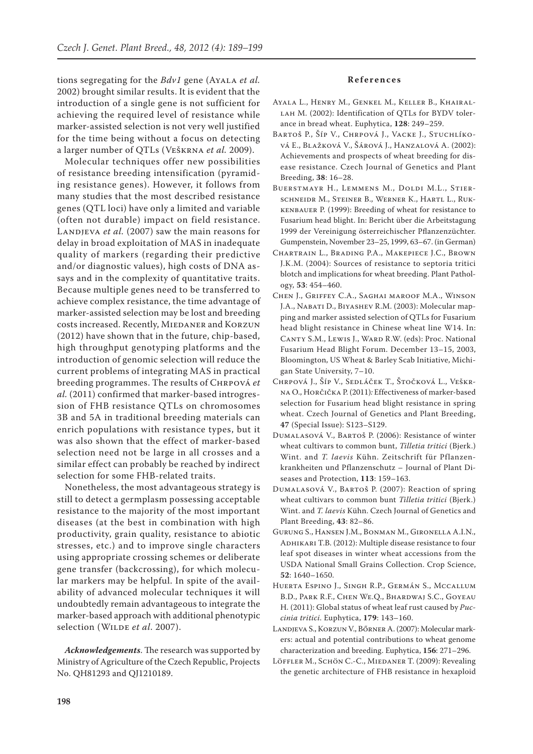tions segregating for the *Bdv1* gene (Ayala *et al.* 2002) brought similar results. It is evident that the introduction of a single gene is not sufficient for achieving the required level of resistance while marker-assisted selection is not very well justified for the time being without a focus on detecting a larger number of QTLs (Veškrna *et al.* 2009).

Molecular techniques offer new possibilities of resistance breeding intensification (pyramiding resistance genes). However, it follows from many studies that the most described resistance genes (QTL loci) have only a limited and variable (often not durable) impact on field resistance. LANDJEVA *et al.* (2007) saw the main reasons for delay in broad exploitation of MAS in inadequate quality of markers (regarding their predictive and/or diagnostic values), high costs of DNA assays and in the complexity of quantitative traits. Because multiple genes need to be transferred to achieve complex resistance, the time advantage of marker-assisted selection may be lost and breeding costs increased. Recently, MIEDANER and KORZUN (2012) have shown that in the future, chip-based, high throughput genotyping platforms and the introduction of genomic selection will reduce the current problems of integrating MAS in practical breeding programmes. The results of Chrpová *et al.* (2011) confirmed that marker-based introgression of FHB resistance QTLs on chromosomes 3B and 5A in traditional breeding materials can enrich populations with resistance types, but it was also shown that the effect of marker-based selection need not be large in all crosses and a similar effect can probably be reached by indirect selection for some FHB-related traits.

Nonetheless, the most advantageous strategy is still to detect a germplasm possessing acceptable resistance to the majority of the most important diseases (at the best in combination with high productivity, grain quality, resistance to abiotic stresses, etc.) and to improve single characters using appropriate crossing schemes or deliberate gene transfer (backcrossing), for which molecular markers may be helpful. In spite of the availability of advanced molecular techniques it will undoubtedly remain advantageous to integrate the marker-based approach with additional phenotypic selection (WILDE et al. 2007).

*Acknowledgements*. The research was supported by Ministry of Agriculture of the Czech Republic, Projects No. QH81293 and QJ1210189.

#### **References**

- Ayala L., Henry M., Genkel M., Keller B., Khairal-LAH M. (2002): Identification of QTLs for BYDV tolerance in bread wheat. Euphytica, **128**: 249–259.
- Bartoš P., Šíp V., Chrpová J., Vacke J., Stuchlíková E., Blažková V., Šárová J., Hanzalová A. (2002): Achievements and prospects of wheat breeding for disease resistance. Czech Journal of Genetics and Plant Breeding, **38**: 16–28.
- Buerstmayr H., Lemmens M., Doldi M.L., Stierschneidr M., Steiner B., Werner K., Hartl L., Ruckenbauer P. (1999): Breeding of wheat for resistance to Fusarium head blight. In: Bericht über die Arbeitstagung 1999 der Vereinigung österreichischer Pflanzenzüchter. Gumpenstein, November 23–25, 1999, 63–67. (in German)
- Chartrain L., Brading P.A., Makepiece J.C., Brown J.K.M. (2004): Sources of resistance to septoria tritici blotch and implications for wheat breeding. Plant Pathology, **53**: 454–460.
- Chen J., Griffey C.A., Saghai maroof M.A., Winson J.A., Nabati D., Biyashev R.M. (2003): Molecular mapping and marker assisted selection of QTLs for Fusarium head blight resistance in Chinese wheat line W14. In: CANTY S.M., LEWIS J., WARD R.W. (eds): Proc. National Fusarium Head Blight Forum. December 13–15, 2003, Bloomington, US Wheat & Barley Scab Initiative, Michigan State University, 7–10.
- Chrpová J., Šíp V., Sedláček T., Štočková L., Veškrna O., Horčička P. (2011)*:* Effectiveness of marker-based selection for Fusarium head blight resistance in spring wheat. Czech Journal of Genetics and Plant Breeding, **47** (Special Issue): S123–S129.
- Dumalasová V., Bartoš P. (2006): Resistance of winter wheat cultivars to common bunt, *Tilletia tritici* (Bjerk.) Wint. and *T. laevis* Kühn. Zeitschrift für Pflanzenkrankheiten und Pflanzenschutz – Journal of Plant Diseases and Protection, **113**: 159–163.
- Dumalasová V., Bartoš P. (2007): Reaction of spring wheat cultivars to common bunt *Tilletia tritici* (Bjerk.) Wint. and *T. laevis* Kühn. Czech Journal of Genetics and Plant Breeding, **43**: 82–86.
- Gurung S., Hansen J.M., Bonman M., Gironella A.I.N., ADHIKARI T.B. (2012): Multiple disease resistance to four leaf spot diseases in winter wheat accessions from the USDA National Small Grains Collection. Crop Science, **52**: 1640–1650.
- Huerta Espino J., Singh R.P., Germán S., Mccallum B.D., Park R.F., Chen We.Q., Bhardwaj S.C., Goyeau H. (2011): Global status of wheat leaf rust caused by *Puccinia tritici*. Euphytica, **179**: 143–160.
- Landjeva S., Korzun V., Bőrner A. (2007): Molecular markers: actual and potential contributions to wheat genome characterization and breeding. Euphytica, **156**: 271–296.
- Löffler M., Schön C.-C., Miedaner T. (2009): Revealing the genetic architecture of FHB resistance in hexaploid